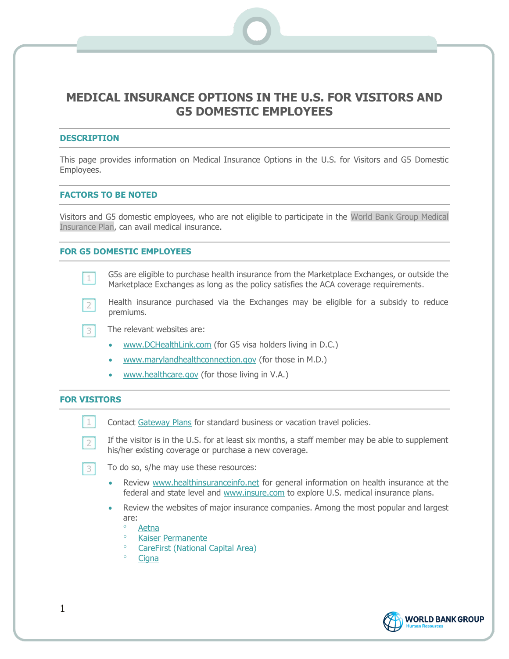# **MEDICAL INSURANCE OPTIONS IN THE U.S. FOR VISITORS AND G5 DOMESTIC EMPLOYEES**

#### **DESCRIPTION**

This page provides information on Medical Insurance Options in the U.S. for Visitors and G5 Domestic Employees.

## **FACTORS TO BE NOTED**

Visitors and G5 domestic employees, who are not eligible to participate in the World Bank Group Medical Insurance Plan, can avail medical insurance.

## **FOR G5 DOMESTIC EMPLOYEES**

- G5s are eligible to purchase health insurance from the Marketplace Exchanges, or outside the  $1$ Marketplace Exchanges as long as the policy satisfies the ACA coverage requirements.
- Health insurance purchased via the Exchanges may be eligible for a subsidy to reduce  $2<sup>1</sup>$ premiums.

 $3<sup>1</sup>$ The relevant websites are:

- [www.DCHealthLink.com](http://www.dchealthlink.com/) (for G5 visa holders living in D.C.)
- [www.marylandhealthconnection.gov](http://www.marylandhealthconnection.gov/) (for those in M.D.)
- [www.healthcare.gov](http://www.healthcare.gov/) (for those living in V.A.)

#### **FOR VISITORS**

 $1$ 

 $\overline{2}$ 

 $3$ 

Contact [Gateway Plans](http://www.gatewayplans.com/) for standard business or vacation travel policies.

If the visitor is in the U.S. for at least six months, a staff member may be able to supplement his/her existing coverage or purchase a new coverage.

To do so, s/he may use these resources:

- Review [www.healthinsuranceinfo.net](http://www.healthinsuranceinfo.net/) for general information on health insurance at the federal and state level and [www.insure.com](http://www.insure.com/) to explore U.S. medical insurance plans.
- Review the websites of major insurance companies. Among the most popular and largest are:
	- [Aetna](http://www.aetna.com/)
	- <sup>o</sup> [Kaiser Permanente](http://www.kaiserpermanente.org/)
	- [CareFirst \(National Capital Area\)](http://www.carefirst.com/)
	- <sup>o</sup> [Cigna](http://www.cigna.com/)